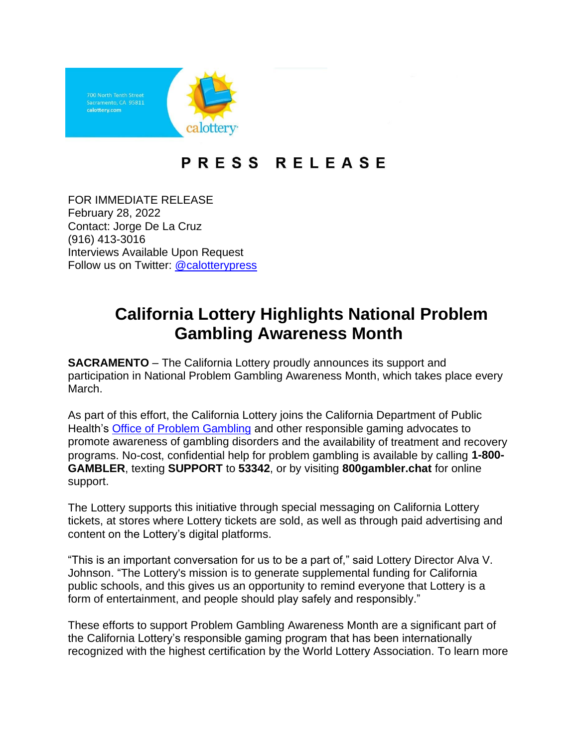

## PRESS RELEASE

FOR IMMEDIATE RELEASE February 28, 2022 Contact: Jorge De La Cruz (916) 413-3016 Interviews Available Upon Request Follow us on Twitter: [@calotterypress](https://twitter.com/calotterypress)

## **California Lottery Highlights National Problem Gambling Awareness Month**

**SACRAMENTO** – The California Lottery proudly announces its support and participation in National Problem Gambling Awareness Month, which takes place every March.

As part of this effort, the California Lottery joins the California Department of Public Health's [Office of Problem Gambling](http://problemgambling.ca.gov/) and other responsible gaming advocates to promote awareness of gambling disorders and the availability of treatment and recovery programs. No-cost, confidential help for problem gambling is available by calling **1-800- GAMBLER**, texting **SUPPORT** to **53342**, or by visiting **800gambler.chat** for online support.

The Lottery supports this initiative through special messaging on California Lottery tickets, at stores where Lottery tickets are sold, as well as through paid advertising and content on the Lottery's digital platforms.

"This is an important conversation for us to be a part of," said Lottery Director Alva V. Johnson. "The Lottery's mission is to generate supplemental funding for California public schools, and this gives us an opportunity to remind everyone that Lottery is a form of entertainment, and people should play safely and responsibly."

These efforts to support Problem Gambling Awareness Month are a significant part of the California Lottery's responsible gaming program that has been internationally recognized with the highest certification by the World Lottery Association. To learn more